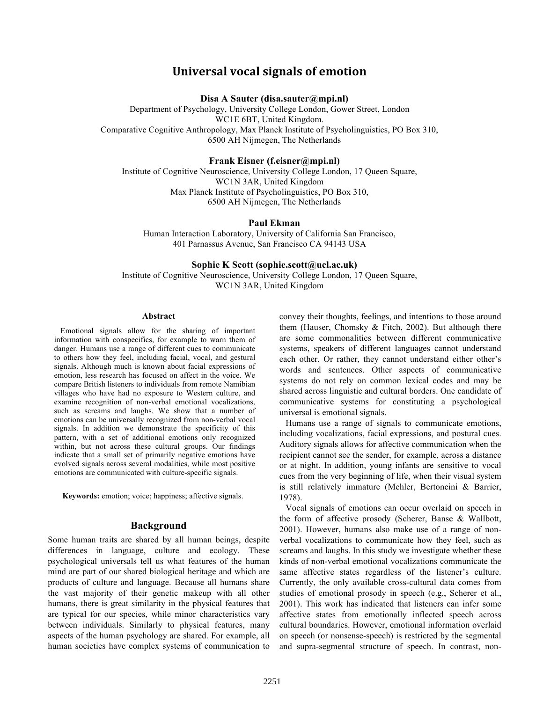# **Universal vocal signals of emotion**

**Disa A Sauter (disa.sauter@mpi.nl)**

Department of Psychology, University College London, Gower Street, London WC1E 6BT, United Kingdom. Comparative Cognitive Anthropology, Max Planck Institute of Psycholinguistics, PO Box 310, 6500 AH Nijmegen, The Netherlands

#### **Frank Eisner (f.eisner@mpi.nl)**

Institute of Cognitive Neuroscience, University College London, 17 Queen Square, WC1N 3AR, United Kingdom Max Planck Institute of Psycholinguistics, PO Box 310, 6500 AH Nijmegen, The Netherlands

#### **Paul Ekman**

Human Interaction Laboratory, University of California San Francisco, 401 Parnassus Avenue, San Francisco CA 94143 USA

#### **Sophie K Scott (sophie.scott@ucl.ac.uk)**

Institute of Cognitive Neuroscience, University College London, 17 Queen Square, WC1N 3AR, United Kingdom

#### **Abstract**

Emotional signals allow for the sharing of important information with conspecifics, for example to warn them of danger. Humans use a range of different cues to communicate to others how they feel, including facial, vocal, and gestural signals. Although much is known about facial expressions of emotion, less research has focused on affect in the voice. We compare British listeners to individuals from remote Namibian villages who have had no exposure to Western culture, and examine recognition of non-verbal emotional vocalizations, such as screams and laughs. We show that a number of emotions can be universally recognized from non-verbal vocal signals. In addition we demonstrate the specificity of this pattern, with a set of additional emotions only recognized within, but not across these cultural groups. Our findings indicate that a small set of primarily negative emotions have evolved signals across several modalities, while most positive emotions are communicated with culture-specific signals.

**Keywords:** emotion; voice; happiness; affective signals.

#### **Background**

Some human traits are shared by all human beings, despite differences in language, culture and ecology. These psychological universals tell us what features of the human mind are part of our shared biological heritage and which are products of culture and language. Because all humans share the vast majority of their genetic makeup with all other humans, there is great similarity in the physical features that are typical for our species, while minor characteristics vary between individuals. Similarly to physical features, many aspects of the human psychology are shared. For example, all human societies have complex systems of communication to convey their thoughts, feelings, and intentions to those around them (Hauser, Chomsky & Fitch, 2002). But although there are some commonalities between different communicative systems, speakers of different languages cannot understand each other. Or rather, they cannot understand either other's words and sentences. Other aspects of communicative systems do not rely on common lexical codes and may be shared across linguistic and cultural borders. One candidate of communicative systems for constituting a psychological universal is emotional signals.

Humans use a range of signals to communicate emotions, including vocalizations, facial expressions, and postural cues. Auditory signals allows for affective communication when the recipient cannot see the sender, for example, across a distance or at night. In addition, young infants are sensitive to vocal cues from the very beginning of life, when their visual system is still relatively immature (Mehler, Bertoncini & Barrier, 1978).

Vocal signals of emotions can occur overlaid on speech in the form of affective prosody (Scherer, Banse & Wallbott, 2001). However, humans also make use of a range of nonverbal vocalizations to communicate how they feel, such as screams and laughs. In this study we investigate whether these kinds of non-verbal emotional vocalizations communicate the same affective states regardless of the listener's culture. Currently, the only available cross-cultural data comes from studies of emotional prosody in speech (e.g., Scherer et al., 2001). This work has indicated that listeners can infer some affective states from emotionally inflected speech across cultural boundaries. However, emotional information overlaid on speech (or nonsense-speech) is restricted by the segmental and supra-segmental structure of speech. In contrast, non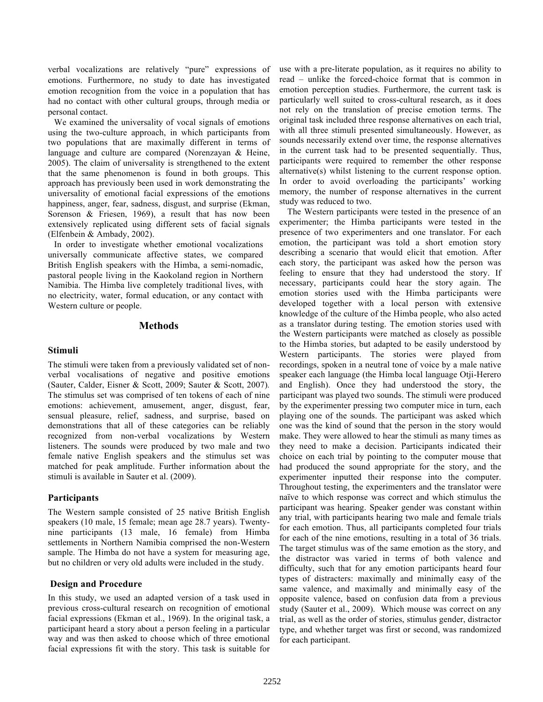verbal vocalizations are relatively "pure" expressions of emotions. Furthermore, no study to date has investigated emotion recognition from the voice in a population that has had no contact with other cultural groups, through media or personal contact.

We examined the universality of vocal signals of emotions using the two-culture approach, in which participants from two populations that are maximally different in terms of language and culture are compared (Norenzayan & Heine, 2005). The claim of universality is strengthened to the extent that the same phenomenon is found in both groups. This approach has previously been used in work demonstrating the universality of emotional facial expressions of the emotions happiness, anger, fear, sadness, disgust, and surprise (Ekman, Sorenson & Friesen, 1969), a result that has now been extensively replicated using different sets of facial signals (Elfenbein & Ambady, 2002).

In order to investigate whether emotional vocalizations universally communicate affective states, we compared British English speakers with the Himba, a semi-nomadic, pastoral people living in the Kaokoland region in Northern Namibia. The Himba live completely traditional lives, with no electricity, water, formal education, or any contact with Western culture or people.

## **Methods**

#### **Stimuli**

The stimuli were taken from a previously validated set of nonverbal vocalisations of negative and positive emotions (Sauter, Calder, Eisner & Scott, 2009; Sauter & Scott, 2007)*.* The stimulus set was comprised of ten tokens of each of nine emotions: achievement, amusement, anger, disgust, fear, sensual pleasure, relief, sadness, and surprise, based on demonstrations that all of these categories can be reliably recognized from non-verbal vocalizations by Western listeners. The sounds were produced by two male and two female native English speakers and the stimulus set was matched for peak amplitude. Further information about the stimuli is available in Sauter et al. (2009).

## **Participants**

The Western sample consisted of 25 native British English speakers (10 male, 15 female; mean age 28.7 years). Twentynine participants (13 male, 16 female) from Himba settlements in Northern Namibia comprised the non-Western sample. The Himba do not have a system for measuring age, but no children or very old adults were included in the study.

## **Design and Procedure**

In this study, we used an adapted version of a task used in previous cross-cultural research on recognition of emotional facial expressions (Ekman et al., 1969). In the original task, a participant heard a story about a person feeling in a particular way and was then asked to choose which of three emotional facial expressions fit with the story. This task is suitable for use with a pre-literate population, as it requires no ability to read – unlike the forced-choice format that is common in emotion perception studies. Furthermore, the current task is particularly well suited to cross-cultural research, as it does not rely on the translation of precise emotion terms. The original task included three response alternatives on each trial, with all three stimuli presented simultaneously. However, as sounds necessarily extend over time, the response alternatives in the current task had to be presented sequentially. Thus, participants were required to remember the other response alternative(s) whilst listening to the current response option. In order to avoid overloading the participants' working memory, the number of response alternatives in the current study was reduced to two.

The Western participants were tested in the presence of an experimenter; the Himba participants were tested in the presence of two experimenters and one translator. For each emotion, the participant was told a short emotion story describing a scenario that would elicit that emotion. After each story, the participant was asked how the person was feeling to ensure that they had understood the story. If necessary, participants could hear the story again. The emotion stories used with the Himba participants were developed together with a local person with extensive knowledge of the culture of the Himba people, who also acted as a translator during testing. The emotion stories used with the Western participants were matched as closely as possible to the Himba stories, but adapted to be easily understood by Western participants. The stories were played from recordings, spoken in a neutral tone of voice by a male native speaker each language (the Himba local language Otji-Herero and English). Once they had understood the story, the participant was played two sounds. The stimuli were produced by the experimenter pressing two computer mice in turn, each playing one of the sounds. The participant was asked which one was the kind of sound that the person in the story would make. They were allowed to hear the stimuli as many times as they need to make a decision. Participants indicated their choice on each trial by pointing to the computer mouse that had produced the sound appropriate for the story, and the experimenter inputted their response into the computer. Throughout testing, the experimenters and the translator were naïve to which response was correct and which stimulus the participant was hearing. Speaker gender was constant within any trial, with participants hearing two male and female trials for each emotion. Thus, all participants completed four trials for each of the nine emotions, resulting in a total of 36 trials. The target stimulus was of the same emotion as the story, and the distractor was varied in terms of both valence and difficulty, such that for any emotion participants heard four types of distracters: maximally and minimally easy of the same valence, and maximally and minimally easy of the opposite valence, based on confusion data from a previous study (Sauter et al., 2009). Which mouse was correct on any trial, as well as the order of stories, stimulus gender, distractor type, and whether target was first or second, was randomized for each participant.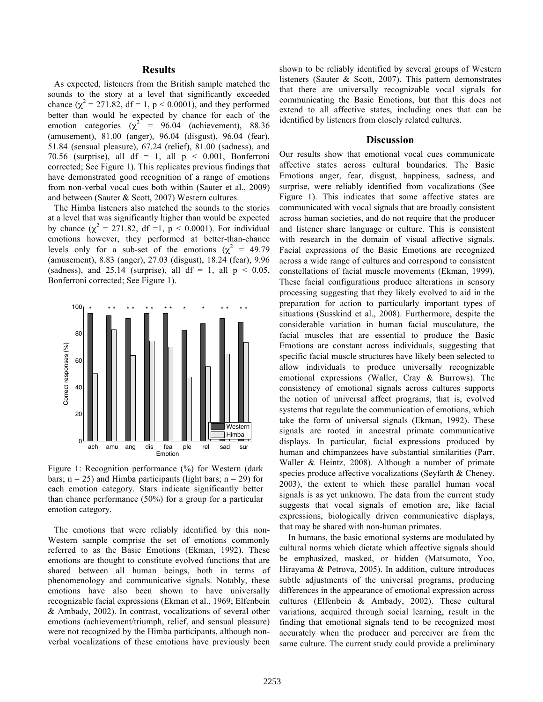# **Results**

As expected, listeners from the British sample matched the sounds to the story at a level that significantly exceeded chance ( $\chi^2 = 271.82$ , df = 1, p < 0.0001), and they performed better than would be expected by chance for each of the emotion categories ( $\chi^2$  = 96.04 (achievement), 88.36 (amusement), 81.00 (anger), 96.04 (disgust), 96.04 (fear), 51.84 (sensual pleasure), 67.24 (relief), 81.00 (sadness), and 70.56 (surprise), all df = 1, all  $p \le 0.001$ , Bonferroni corrected; See Figure 1). This replicates previous findings that have demonstrated good recognition of a range of emotions from non-verbal vocal cues both within (Sauter et al., 2009) and between (Sauter & Scott, 2007) Western cultures.

The Himba listeners also matched the sounds to the stories at a level that was significantly higher than would be expected by chance  $(\chi^2 = 271.82, df = 1, p < 0.0001)$ . For individual emotions however, they performed at better-than-chance levels only for a sub-set of the emotions  $(\chi^2 = 49.79)$ (amusement), 8.83 (anger), 27.03 (disgust), 18.24 (fear), 9.96 (sadness), and 25.14 (surprise), all df = 1, all  $p < 0.05$ , Bonferroni corrected; See Figure 1).



Figure 1: Recognition performance (%) for Western (dark bars;  $n = 25$ ) and Himba participants (light bars;  $n = 29$ ) for each emotion category. Stars indicate significantly better than chance performance (50%) for a group for a particular emotion category.

The emotions that were reliably identified by this non-Western sample comprise the set of emotions commonly referred to as the Basic Emotions (Ekman, 1992). These emotions are thought to constitute evolved functions that are shared between all human beings, both in terms of phenomenology and communicative signals. Notably, these emotions have also been shown to have universally recognizable facial expressions (Ekman et al., 1969; Elfenbein & Ambady, 2002). In contrast, vocalizations of several other emotions (achievement/triumph, relief, and sensual pleasure) were not recognized by the Himba participants, although nonverbal vocalizations of these emotions have previously been

shown to be reliably identified by several groups of Western listeners (Sauter & Scott, 2007). This pattern demonstrates that there are universally recognizable vocal signals for communicating the Basic Emotions, but that this does not extend to all affective states, including ones that can be identified by listeners from closely related cultures.

#### **Discussion**

Our results show that emotional vocal cues communicate affective states across cultural boundaries. The Basic Emotions anger, fear, disgust, happiness, sadness, and surprise, were reliably identified from vocalizations (See Figure 1). This indicates that some affective states are communicated with vocal signals that are broadly consistent across human societies, and do not require that the producer and listener share language or culture. This is consistent with research in the domain of visual affective signals. Facial expressions of the Basic Emotions are recognized across a wide range of cultures and correspond to consistent constellations of facial muscle movements (Ekman, 1999). These facial configurations produce alterations in sensory processing suggesting that they likely evolved to aid in the preparation for action to particularly important types of situations (Susskind et al., 2008). Furthermore, despite the considerable variation in human facial musculature, the facial muscles that are essential to produce the Basic Emotions are constant across individuals, suggesting that specific facial muscle structures have likely been selected to allow individuals to produce universally recognizable emotional expressions (Waller, Cray & Burrows). The consistency of emotional signals across cultures supports the notion of universal affect programs, that is, evolved systems that regulate the communication of emotions, which take the form of universal signals (Ekman, 1992). These signals are rooted in ancestral primate communicative displays. In particular, facial expressions produced by human and chimpanzees have substantial similarities (Parr, Waller & Heintz, 2008). Although a number of primate species produce affective vocalizations (Seyfarth & Cheney, 2003), the extent to which these parallel human vocal signals is as yet unknown. The data from the current study suggests that vocal signals of emotion are, like facial expressions, biologically driven communicative displays, that may be shared with non-human primates.

 In humans, the basic emotional systems are modulated by cultural norms which dictate which affective signals should be emphasized, masked, or hidden (Matsumoto, Yoo, Hirayama & Petrova, 2005). In addition, culture introduces subtle adjustments of the universal programs, producing differences in the appearance of emotional expression across cultures (Elfenbein & Ambady, 2002). These cultural variations, acquired through social learning, result in the finding that emotional signals tend to be recognized most accurately when the producer and perceiver are from the same culture. The current study could provide a preliminary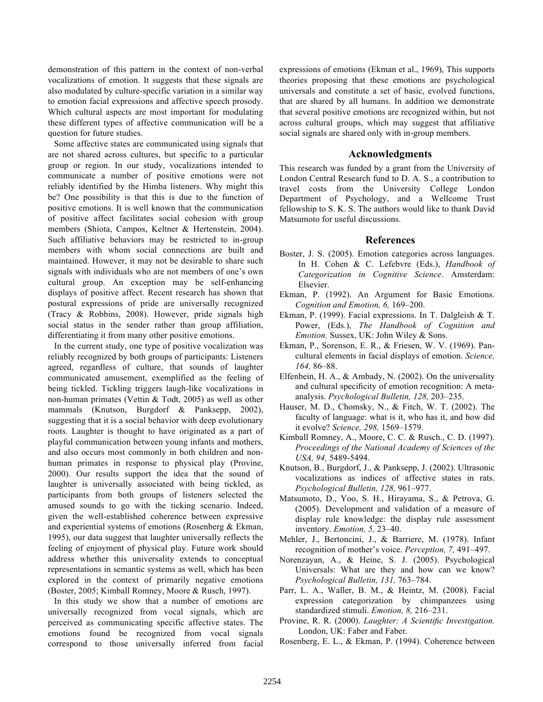demonstration of this pattern in the context of non-verbal vocalizations of emotion. It suggests that these signals are also modulated by culture-specific variation in a similar way to emotion facial expressions and affective speech prosody. Which cultural aspects are most important for modulating these different types of affective communication will be a question for future studies.

Some affective states are communicated using signals that are not shared across cultures, but specific to a particular group or region. In our study, vocalizations intended to communicate a number of positive emotions were not reliably identified by the Himba listeners. Why might this be? One possibility is that this is due to the function of positive emotions. It is well known that the communication of positive affect facilitates social cohesion with group members (Shiota, Campos, Keltner & Hertenstein, 2004). Such affiliative behaviors may be restricted to in-group members with whom social connections are built and maintained. However, it may not be desirable to share such signals with individuals who are not members of one's own cultural group. An exception may be self-enhancing displays of positive affect. Recent research has shown that postural expressions of pride are universally recognized (Tracy & Robbins, 2008). However, pride signals high social status in the sender rather than group affiliation, differentiating it from many other positive emotions.

In the current study, one type of positive vocalization was reliably recognized by both groups of participants: Listeners agreed, regardless of culture, that sounds of laughter communicated amusement, exemplified as the feeling of being tickled. Tickling triggers laugh-like vocalizations in non-human primates (Vettin & Todt, 2005) as well as other mammals (Knutson, Burgdorf & Panksepp, 2002), suggesting that it is a social behavior with deep evolutionary roots. Laughter is thought to have originated as a part of playful communication between young infants and mothers, and also occurs most commonly in both children and nonhuman primates in response to physical play (Provine, 2000). Our results support the idea that the sound of laughter is universally associated with being tickled, as participants from both groups of listeners selected the amused sounds to go with the ticking scenario. Indeed, given the well-established coherence between expressive and experiential systems of emotions (Rosenberg & Ekman, 1995), our data suggest that laughter universally reflects the feeling of enjoyment of physical play. Future work should address whether this universality extends to conceptual representations in semantic systems as well, which has been explored in the context of primarily negative emotions (Boster, 2005; Kimball Romney, Moore & Rusch, 1997).

In this study we show that a number of emotions are universally recognized from vocal signals, which are perceived as communicating specific affective states. The emotions found be recognized from vocal signals correspond to those universally inferred from facial expressions of emotions (Ekman et al., 1969), This supports theories proposing that these emotions are psychological universals and constitute a set of basic, evolved functions, that are shared by all humans. In addition we demonstrate that several positive emotions are recognized within, but not across cultural groups, which may suggest that affiliative social signals are shared only with in-group members.

# **Acknowledgments**

This research was funded by a grant from the University of London Central Research fund to D. A. S., a contribution to travel costs from the University College London Department of Psychology, and a Wellcome Trust fellowship to S. K. S. The authors would like to thank David Matsumoto for useful discussions.

# **References**

- Boster, J. S. (2005). Emotion categories across languages. In H. Cohen & C. Lefebvre (Eds.), *Handbook of Categorization in Cognitive Science*. Amsterdam: Elsevier.
- Ekman, P. (1992). An Argument for Basic Emotions. *Cognition and Emotion, 6,* 169–200.
- Ekman, P. (1999). Facial expressions. In T. Dalgleish & T. Power, (Eds.), *The Handbook of Cognition and Emotion.* Sussex, UK: John Wiley & Sons.
- Ekman, P., Sorenson, E. R., & Friesen, W. V. (1969). Pancultural elements in facial displays of emotion. *Science, 164,* 86–88.
- Elfenbein, H. A., & Ambady, N. (2002). On the universality and cultural specificity of emotion recognition: A metaanalysis. *Psychological Bulletin, 128,* 203–235.
- Hauser, M. D., Chomsky, N., & Fitch, W. T. (2002). The faculty of language: what is it, who has it, and how did it evolve? *Science, 298,* 1569–1579.
- Kimball Romney, A., Moore, C. C. & Rusch., C. D. (1997). *Proceedings of the National Academy of Sciences of the USA, 94,* 5489-5494.
- Knutson, B., Burgdorf, J., & Panksepp, J. (2002). Ultrasonic vocalizations as indices of affective states in rats. *Psychological Bulletin, 128,* 961–977.
- Matsumoto, D., Yoo, S. H., Hirayama, S., & Petrova, G. (2005). Development and validation of a measure of display rule knowledge: the display rule assessment inventory. *Emotion, 5,* 23–40.
- Mehler, J., Bertoncini, J., & Barriere, M. (1978). Infant recognition of mother's voice. *Perception, 7,* 491–497.
- Norenzayan, A., & Heine, S. J. (2005). Psychological Universals: What are they and how can we know? *Psychological Bulletin, 131,* 763–784.
- Parr, L. A., Waller, B. M., & Heintz, M. (2008). Facial expression categorization by chimpanzees using standardized stimuli. *Emotion, 8,* 216–231.
- Provine, R. R. (2000). *Laughter: A Scientific Investigation.* London, UK: Faber and Faber.
- Rosenberg, E. L., & Ekman, P. (1994). Coherence between